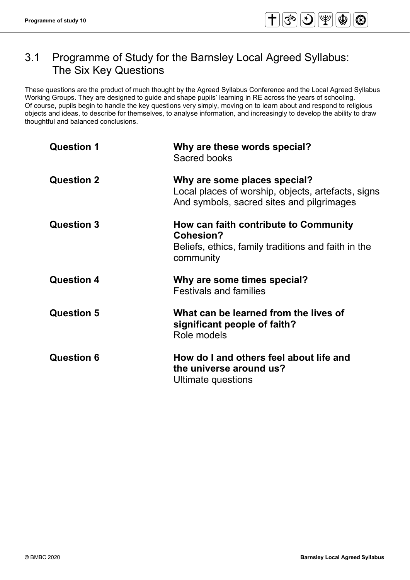# 3.1 Programme of Study for the Barnsley Local Agreed Syllabus: The Six Key Questions

These questions are the product of much thought by the Agreed Syllabus Conference and the Local Agreed Syllabus Working Groups. They are designed to guide and shape pupils' learning in RE across the years of schooling. Of course, pupils begin to handle the key questions very simply, moving on to learn about and respond to religious objects and ideas, to describe for themselves, to analyse information, and increasingly to develop the ability to draw thoughtful and balanced conclusions.

| <b>Question 1</b> | Why are these words special?<br>Sacred books                                                                                    |
|-------------------|---------------------------------------------------------------------------------------------------------------------------------|
| <b>Question 2</b> | Why are some places special?<br>Local places of worship, objects, artefacts, signs<br>And symbols, sacred sites and pilgrimages |
| <b>Question 3</b> | How can faith contribute to Community<br>Cohesion?<br>Beliefs, ethics, family traditions and faith in the<br>community          |
| <b>Question 4</b> | Why are some times special?<br><b>Festivals and families</b>                                                                    |
| <b>Question 5</b> | What can be learned from the lives of<br>significant people of faith?<br>Role models                                            |
| <b>Question 6</b> | How do I and others feel about life and<br>the universe around us?<br>Ultimate questions                                        |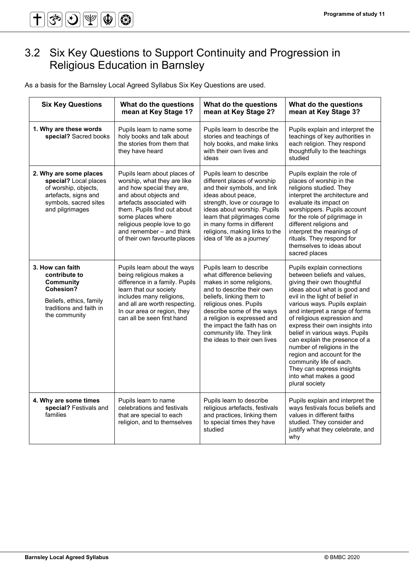# 3.2 Six Key Questions to Support Continuity and Progression in Religious Education in Barnsley

As a basis for the Barnsley Local Agreed Syllabus Six Key Questions are used.

| <b>Six Key Questions</b>                                                                                                                    | What do the questions<br>mean at Key Stage 1?                                                                                                                                                                                                                                                  | What do the questions<br>mean at Key Stage 2?                                                                                                                                                                                                                                                                                | What do the questions<br>mean at Key Stage 3?                                                                                                                                                                                                                                                                                                                                                                                                                                                                                     |
|---------------------------------------------------------------------------------------------------------------------------------------------|------------------------------------------------------------------------------------------------------------------------------------------------------------------------------------------------------------------------------------------------------------------------------------------------|------------------------------------------------------------------------------------------------------------------------------------------------------------------------------------------------------------------------------------------------------------------------------------------------------------------------------|-----------------------------------------------------------------------------------------------------------------------------------------------------------------------------------------------------------------------------------------------------------------------------------------------------------------------------------------------------------------------------------------------------------------------------------------------------------------------------------------------------------------------------------|
| 1. Why are these words<br>special? Sacred books                                                                                             | Pupils learn to name some<br>holy books and talk about<br>the stories from them that<br>they have heard                                                                                                                                                                                        | Pupils learn to describe the<br>stories and teachings of<br>holy books, and make links<br>with their own lives and<br>ideas                                                                                                                                                                                                  | Pupils explain and interpret the<br>teachings of key authorities in<br>each religion. They respond<br>thoughtfully to the teachings<br>studied                                                                                                                                                                                                                                                                                                                                                                                    |
| 2. Why are some places<br>special? Local places<br>of worship, objects,<br>artefacts, signs and<br>symbols, sacred sites<br>and pilgrimages | Pupils learn about places of<br>worship, what they are like<br>and how special they are,<br>and about objects and<br>artefacts associated with<br>them. Pupils find out about<br>some places where<br>religious people love to go<br>and remember - and think<br>of their own favourite places | Pupils learn to describe<br>different places of worship<br>and their symbols, and link<br>ideas about peace,<br>strength, love or courage to<br>ideas about worship. Pupils<br>learn that pilgrimages come<br>in many forms in different<br>religions, making links to the<br>idea of 'life as a journey'                    | Pupils explain the role of<br>places of worship in the<br>religions studied. They<br>interpret the architecture and<br>evaluate its impact on<br>worshippers. Pupils account<br>for the role of pilgrimage in<br>different religions and<br>interpret the meanings of<br>rituals. They respond for<br>themselves to ideas about<br>sacred places                                                                                                                                                                                  |
| 3. How can faith<br>contribute to<br><b>Community</b><br>Cohesion?<br>Beliefs, ethics, family<br>traditions and faith in<br>the community   | Pupils learn about the ways<br>being religious makes a<br>difference in a family. Pupils<br>learn that our society<br>includes many religions,<br>and all are worth respecting.<br>In our area or region, they<br>can all be seen first hand                                                   | Pupils learn to describe<br>what difference believing<br>makes in some religions,<br>and to describe their own<br>beliefs, linking them to<br>religious ones. Pupils<br>describe some of the ways<br>a religion is expressed and<br>the impact the faith has on<br>community life. They link<br>the ideas to their own lives | Pupils explain connections<br>between beliefs and values,<br>giving their own thoughtful<br>ideas about what is good and<br>evil in the light of belief in<br>various ways. Pupils explain<br>and interpret a range of forms<br>of religious expression and<br>express their own insights into<br>belief in various ways. Pupils<br>can explain the presence of a<br>number of religions in the<br>region and account for the<br>community life of each.<br>They can express insights<br>into what makes a good<br>plural society |
| 4. Why are some times<br>special? Festivals and<br>families                                                                                 | Pupils learn to name<br>celebrations and festivals<br>that are special to each<br>religion, and to themselves                                                                                                                                                                                  | Pupils learn to describe<br>religious artefacts, festivals<br>and practices, linking them<br>to special times they have<br>studied                                                                                                                                                                                           | Pupils explain and interpret the<br>ways festivals focus beliefs and<br>values in different faiths<br>studied. They consider and<br>justify what they celebrate, and<br>why                                                                                                                                                                                                                                                                                                                                                       |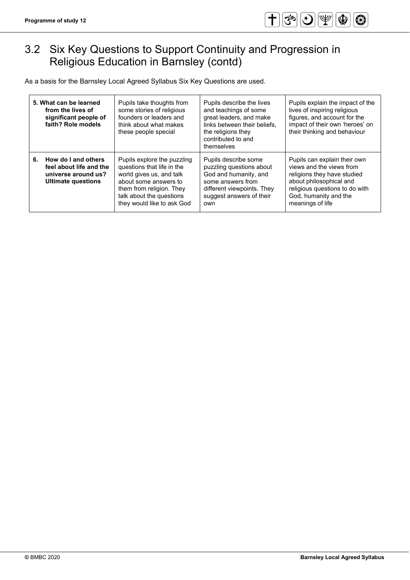# 3.2 Six Key Questions to Support Continuity and Progression in Religious Education in Barnsley (contd)

As a basis for the Barnsley Local Agreed Syllabus Six Key Questions are used.

|    | 5. What can be learned<br>from the lives of<br>significant people of<br>faith? Role models         | Pupils take thoughts from<br>some stories of religious<br>founders or leaders and<br>think about what makes<br>these people special                                                                  | Pupils describe the lives<br>and teachings of some<br>great leaders, and make<br>links between their beliefs,<br>the religions they<br>contributed to and<br>themselves | Pupils explain the impact of the<br>lives of inspiring religious<br>figures, and account for the<br>impact of their own 'heroes' on<br>their thinking and behaviour                               |
|----|----------------------------------------------------------------------------------------------------|------------------------------------------------------------------------------------------------------------------------------------------------------------------------------------------------------|-------------------------------------------------------------------------------------------------------------------------------------------------------------------------|---------------------------------------------------------------------------------------------------------------------------------------------------------------------------------------------------|
| 6. | How do I and others<br>feel about life and the<br>universe around us?<br><b>Ultimate questions</b> | Pupils explore the puzzling<br>questions that life in the<br>world gives us, and talk<br>about some answers to<br>them from religion. They<br>talk about the questions<br>they would like to ask God | Pupils describe some<br>puzzling questions about<br>God and humanity, and<br>some answers from<br>different viewpoints. They<br>suggest answers of their<br>own         | Pupils can explain their own<br>views and the views from<br>religions they have studied<br>about philosophical and<br>religious questions to do with<br>God, humanity and the<br>meanings of life |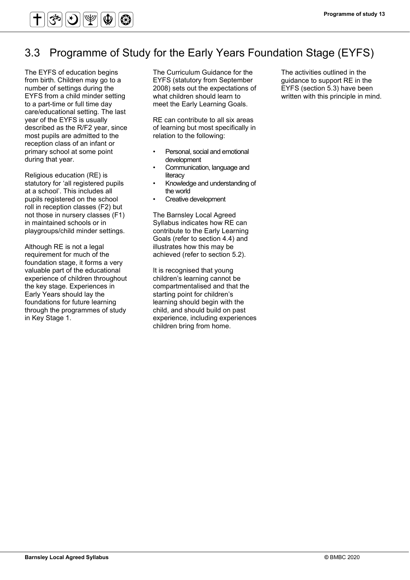

# 3.3 Programme of Study for the Early Years Foundation Stage (EYFS)

The EYFS of education begins from birth. Children may go to a number of settings during the EYFS from a child minder setting to a part-time or full time day care/educational setting. The last year of the EYFS is usually described as the R/F2 year, since most pupils are admitted to the reception class of an infant or primary school at some point during that year.

Religious education (RE) is statutory for 'all registered pupils at a school'. This includes all pupils registered on the school roll in reception classes (F2) but not those in nursery classes (F1) in maintained schools or in playgroups/child minder settings.

Although RE is not a legal requirement for much of the foundation stage, it forms a very valuable part of the educational experience of children throughout the key stage. Experiences in Early Years should lay the foundations for future learning through the programmes of study in Key Stage 1.

The Curriculum Guidance for the EYFS (statutory from September 2008) sets out the expectations of what children should learn to meet the Early Learning Goals.

RE can contribute to all six areas of learning but most specifically in relation to the following:

- Personal, social and emotional development
- Communication, language and literacy
- Knowledge and understanding of the world
- Creative development

The Barnsley Local Agreed Syllabus indicates how RE can contribute to the Early Learning Goals (refer to section 4.4) and illustrates how this may be achieved (refer to section 5.2).

It is recognised that young children's learning cannot be compartmentalised and that the starting point for children's learning should begin with the child, and should build on past experience, including experiences children bring from home.

The activities outlined in the guidance to support RE in the EYFS (section 5.3) have been written with this principle in mind.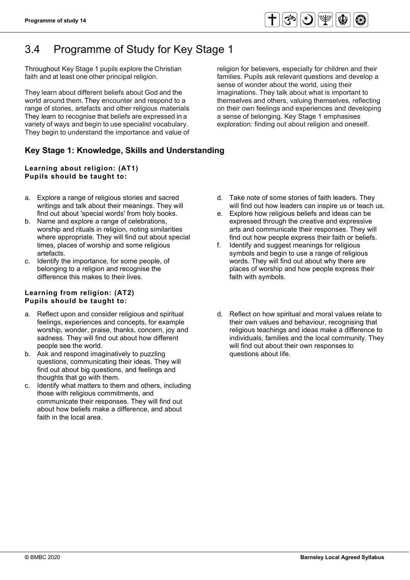

# 3.4 Programme of Study for Key Stage 1

Throughout Key Stage 1 pupils explore the Christian faith and at least one other principal religion.

They learn about different beliefs about God and the world around them. They encounter and respond to a range of stories, artefacts and other religious materials. They learn to recognise that beliefs are expressed in a variety of ways and begin to use specialist vocabulary. They begin to understand the importance and value of

religion for believers, especially for children and their families. Pupils ask relevant questions and develop a sense of wonder about the world, using their imaginations. They talk about what is important to themselves and others, valuing themselves, reflecting on their own feelings and experiences and developing a sense of belonging. Key Stage 1 emphasises exploration: finding out about religion and oneself.

# **Key Stage 1: Knowledge, Skills and Understanding**

#### **Learning about religion: (AT1) Pupils should be taught to:**

- a. Explore a range of religious stories and sacred writings and talk about their meanings. They will find out about 'special words' from holy books.
- b. Name and explore a range of celebrations, worship and rituals in religion, noting similarities where appropriate. They will find out about special times, places of worship and some religious artefacts.
- c. Identify the importance, for some people, of belonging to a religion and recognise the difference this makes to their lives.

#### **Learning from religion: (AT2) Pupils should be taught to:**

- a. Reflect upon and consider religious and spiritual feelings, experiences and concepts, for example worship, wonder, praise, thanks, concern, joy and sadness. They will find out about how different people see the world.
- b. Ask and respond imaginatively to puzzling questions, communicating their ideas. They will find out about big questions, and feelings and thoughts that go with them.
- c. Identify what matters to them and others, including those with religious commitments, and communicate their responses. They will find out about how beliefs make a difference, and about faith in the local area.
- d. Take note of some stories of faith leaders. They will find out how leaders can inspire us or teach us.
- e. Explore how religious beliefs and ideas can be expressed through the creative and expressive arts and communicate their responses. They will find out how people express their faith or beliefs.
- f. Identify and suggest meanings for religious symbols and begin to use a range of religious words. They will find out about why there are places of worship and how people express their faith with symbols.
- d. Reflect on how spiritual and moral values relate to their own values and behaviour, recognising that religious teachings and ideas make a difference to individuals, families and the local community. They will find out about their own responses to questions about life.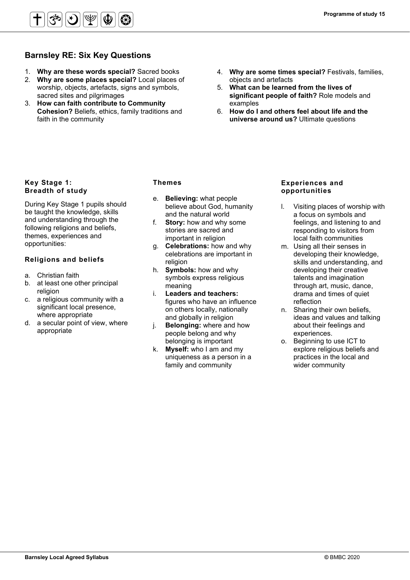

# **Barnsley RE: Six Key Questions**

- 1. **Why are these words special?** Sacred books
- 2. **Why are some places special?** Local places of worship, objects, artefacts, signs and symbols, sacred sites and pilgrimages
- 3. **How can faith contribute to Community Cohesion?** Beliefs, ethics, family traditions and faith in the community
- 4. **Why are some times special?** Festivals, families, objects and artefacts
- 5. **What can be learned from the lives of significant people of faith?** Role models and examples
- 6. **How do I and others feel about life and the universe around us?** Ultimate questions

### **Key Stage 1: Breadth of study**

During Key Stage 1 pupils should be taught the knowledge, skills and understanding through the following religions and beliefs, themes, experiences and opportunities:

## **Religions and beliefs**

- a. Christian faith
- b. at least one other principal religion
- c. a religious community with a significant local presence, where appropriate
- d. a secular point of view, where appropriate

### **Themes**

- e. **Believing:** what people believe about God, humanity and the natural world
- f. **Story:** how and why some stories are sacred and important in religion
- g. **Celebrations:** how and why celebrations are important in religion
- h. **Symbols:** how and why symbols express religious meaning
- i. **Leaders and teachers:** figures who have an influence on others locally, nationally and globally in religion
- j. **Belonging:** where and how people belong and why belonging is important
- k. **Myself:** who I am and my uniqueness as a person in a family and community

#### **Experiences and opportunities**

- l. Visiting places of worship with a focus on symbols and feelings, and listening to and responding to visitors from local faith communities
- m. Using all their senses in developing their knowledge, skills and understanding, and developing their creative talents and imagination through art, music, dance, drama and times of quiet reflection
- n. Sharing their own beliefs, ideas and values and talking about their feelings and experiences.
- o. Beginning to use ICT to explore religious beliefs and practices in the local and wider community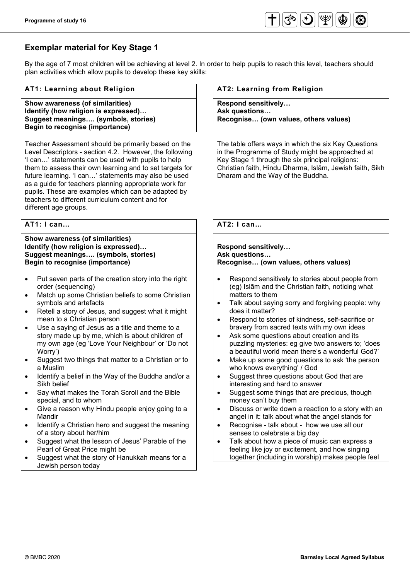

# **Exemplar material for Key Stage 1**

By the age of 7 most children will be achieving at level 2. In order to help pupils to reach this level, teachers should plan activities which allow pupils to develop these key skills:

#### **AT1: Learning about Religion**

**Show awareness (of similarities) Identify (how religion is expressed)… Suggest meanings…. (symbols, stories) Begin to recognise (importance)**

Teacher Assessment should be primarily based on the Level Descriptors - section 4.2. However, the following 'I can…' statements can be used with pupils to help them to assess their own learning and to set targets for future learning. 'I can…' statements may also be used as a guide for teachers planning appropriate work for pupils. These are examples which can be adapted by teachers to different curriculum content and for different age groups.

#### **AT1: I can…**

#### **Show awareness (of similarities) Identify (how religion is expressed)… Suggest meanings…. (symbols, stories) Begin to recognise (importance)**

- Put seven parts of the creation story into the right order (sequencing)
- Match up some Christian beliefs to some Christian symbols and artefacts
- Retell a story of Jesus, and suggest what it might mean to a Christian person
- Use a saying of Jesus as a title and theme to a story made up by me, which is about children of my own age (eg 'Love Your Neighbour' or 'Do not Worry')
- Suggest two things that matter to a Christian or to a Muslim
- Identify a belief in the Way of the Buddha and/or a Sikh belief
- Say what makes the Torah Scroll and the Bible special, and to whom
- Give a reason why Hindu people enjoy going to a Mandir
- Identify a Christian hero and suggest the meaning of a story about her/him
- Suggest what the lesson of Jesus' Parable of the Pearl of Great Price might be
- Suggest what the story of Hanukkah means for a Jewish person today

#### **AT2: Learning from Religion**

**Respond sensitively… Ask questions… Recognise… (own values, others values)**

The table offers ways in which the six Key Questions in the Programme of Study might be approached at Key Stage 1 through the six principal religions: Christian faith, Hindu Dharma, Islām, Jewish faith, Sikh Dharam and the Way of the Buddha.

## **AT2: I can…**

#### **Respond sensitively… Ask questions… Recognise… (own values, others values)**

- Respond sensitively to stories about people from (eg) Islām and the Christian faith, noticing what matters to them
- Talk about saying sorry and forgiving people: why does it matter?
- Respond to stories of kindness, self-sacrifice or bravery from sacred texts with my own ideas
- Ask some questions about creation and its puzzling mysteries: eg give two answers to; 'does a beautiful world mean there's a wonderful God?'
- Make up some good questions to ask 'the person who knows everything' / God
- Suggest three questions about God that are interesting and hard to answer
- Suggest some things that are precious, though money can't buy them
- Discuss or write down a reaction to a story with an angel in it: talk about what the angel stands for
- Recognise talk about how we use all our senses to celebrate a big day
- Talk about how a piece of music can express a feeling like joy or excitement, and how singing together (including in worship) makes people feel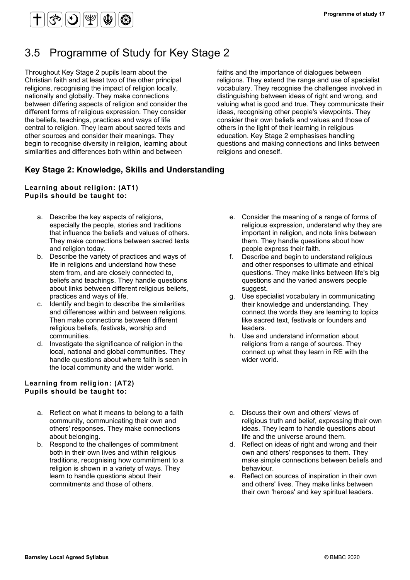# 3.5 Programme of Study for Key Stage 2

Throughout Key Stage 2 pupils learn about the Christian faith and at least two of the other principal religions, recognising the impact of religion locally, nationally and globally. They make connections between differing aspects of religion and consider the different forms of religious expression. They consider the beliefs, teachings, practices and ways of life central to religion. They learn about sacred texts and other sources and consider their meanings. They begin to recognise diversity in religion, learning about similarities and differences both within and between

# **Key Stage 2: Knowledge, Skills and Understanding**

## **Learning about religion: (AT1) Pupils should be taught to:**

- a. Describe the key aspects of religions, especially the people, stories and traditions that influence the beliefs and values of others. They make connections between sacred texts and religion today.
- b. Describe the variety of practices and ways of life in religions and understand how these stem from, and are closely connected to, beliefs and teachings. They handle questions about links between different religious beliefs, practices and ways of life.
- c. Identify and begin to describe the similarities and differences within and between religions. Then make connections between different religious beliefs, festivals, worship and communities.
- d. Investigate the significance of religion in the local, national and global communities. They handle questions about where faith is seen in the local community and the wider world.

#### **Learning from religion: (AT2) Pupils should be taught to:**

- a. Reflect on what it means to belong to a faith community, communicating their own and others' responses. They make connections about belonging.
- b. Respond to the challenges of commitment both in their own lives and within religious traditions, recognising how commitment to a religion is shown in a variety of ways. They learn to handle questions about their commitments and those of others.

faiths and the importance of dialogues between religions. They extend the range and use of specialist vocabulary. They recognise the challenges involved in distinguishing between ideas of right and wrong, and valuing what is good and true. They communicate their ideas, recognising other people's viewpoints. They consider their own beliefs and values and those of others in the light of their learning in religious education. Key Stage 2 emphasises handling questions and making connections and links between religions and oneself.

- e. Consider the meaning of a range of forms of religious expression, understand why they are important in religion, and note links between them. They handle questions about how people express their faith.
- f. Describe and begin to understand religious and other responses to ultimate and ethical questions. They make links between life's big questions and the varied answers people suggest.
- g. Use specialist vocabulary in communicating their knowledge and understanding. They connect the words they are learning to topics like sacred text, festivals or founders and leaders.
- h. Use and understand information about religions from a range of sources. They connect up what they learn in RE with the wider world.
- c. Discuss their own and others' views of religious truth and belief, expressing their own ideas. They learn to handle questions about life and the universe around them.
- d. Reflect on ideas of right and wrong and their own and others' responses to them. They make simple connections between beliefs and behaviour.
- e. Reflect on sources of inspiration in their own and others' lives. They make links between their own 'heroes' and key spiritual leaders.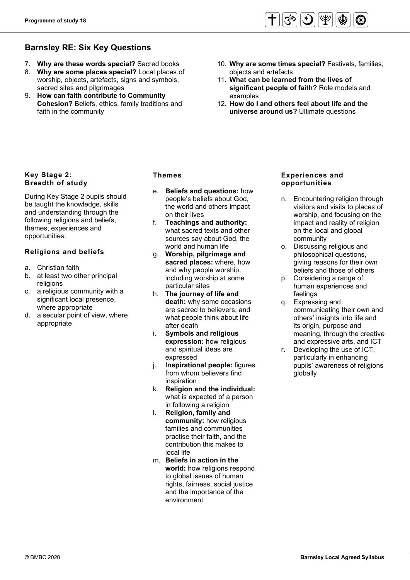# **Barnsley RE: Six Key Questions**

- 7. **Why are these words special?** Sacred books
- 8. **Why are some places special?** Local places of worship, objects, artefacts, signs and symbols, sacred sites and pilgrimages
- 9. **How can faith contribute to Community Cohesion?** Beliefs, ethics, family traditions and faith in the community
- 10. **Why are some times special?** Festivals, families, objects and artefacts
- 11. **What can be learned from the lives of significant people of faith?** Role models and examples
- 12. **How do I and others feel about life and the universe around us?** Ultimate questions

# **Key Stage 2: Breadth of study**

During Key Stage 2 pupils should be taught the knowledge, skills and understanding through the following religions and beliefs, themes, experiences and opportunities:

# **Religions and beliefs**

- a. Christian faith
- b. at least two other principal religions
- c. a religious community with a significant local presence, where appropriate
- d. a secular point of view, where appropriate

### **Themes**

- e. **Beliefs and questions:** how people's beliefs about God, the world and others impact on their lives
- f. **Teachings and authority:** what sacred texts and other sources say about God, the world and human life
- g. **Worship, pilgrimage and sacred places:** where, how and why people worship, including worship at some particular sites
- h. **The journey of life and death:** why some occasions are sacred to believers, and what people think about life after death
- i. **Symbols and religious expression:** how religious and spiritual ideas are expressed
- j. **Inspirational people:** figures from whom believers find inspiration
- k. **Religion and the individual:** what is expected of a person in following a religion
- l. **Religion, family and community:** how religious families and communities practise their faith, and the contribution this makes to local life
- m. **Beliefs in action in the world:** how religions respond to global issues of human rights, fairness, social justice and the importance of the environment

### **Experiences and opportunities**

- n. Encountering religion through visitors and visits to places of worship, and focusing on the impact and reality of religion on the local and global community
- o. Discussing religious and philosophical questions, giving reasons for their own beliefs and those of others
- p. Considering a range of human experiences and feelings
- q. Expressing and communicating their own and others' insights into life and its origin, purpose and meaning, through the creative and expressive arts, and ICT
- r. Developing the use of ICT, particularly in enhancing pupils' awareness of religions globally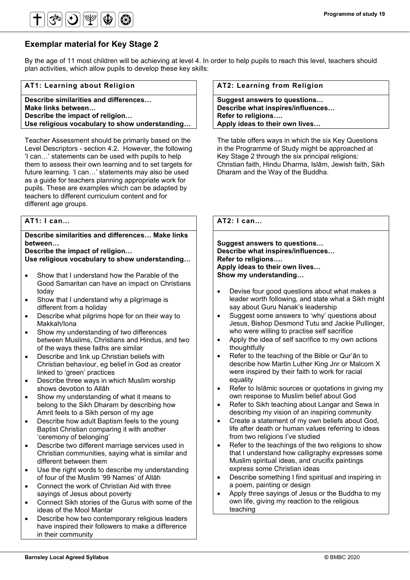

# **Exemplar material for Key Stage 2**

By the age of 11 most children will be achieving at level 4. In order to help pupils to reach this level, teachers should plan activities, which allow pupils to develop these key skills:

#### **AT1: Learning about Religion**

**Describe similarities and differences… Make links between… Describe the impact of religion… Use religious vocabulary to show understanding…**

Teacher Assessment should be primarily based on the Level Descriptors - section 4.2. However, the following 'I can…' statements can be used with pupils to help them to assess their own learning and to set targets for future learning. 'I can…' statements may also be used as a guide for teachers planning appropriate work for pupils. These are examples which can be adapted by teachers to different curriculum content and for different age groups.

#### **AT1: I can…**

**Describe similarities and differences… Make links between…**

**Describe the impact of religion… Use religious vocabulary to show understanding…**

- Show that I understand how the Parable of the Good Samaritan can have an impact on Christians today
- Show that I understand why a pilgrimage is different from a holiday
- Describe what pilgrims hope for on their way to Makkah/Iona
- Show my understanding of two differences between Muslims, Christians and Hindus, and two of the ways these faiths are similar
- Describe and link up Christian beliefs with Christian behaviour, eg belief in God as creator linked to 'green' practices
- Describe three ways in which Muslim worship shows devotion to Allāh
- Show my understanding of what it means to belong to the Sikh Dharam by describing how Amrit feels to a Sikh person of my age
- Describe how adult Baptism feels to the young Baptist Christian comparing it with another 'ceremony of belonging'
- Describe two different marriage services used in Christian communities, saying what is similar and different between them
- Use the right words to describe my understanding of four of the Muslim '99 Names' of Allāh
- Connect the work of Christian Aid with three sayings of Jesus about poverty
- Connect Sikh stories of the Gurus with some of the ideas of the Mool Mantar
- Describe how two contemporary religious leaders have inspired their followers to make a difference in their community

#### **AT2: Learning from Religion**

**Suggest answers to questions… Describe what inspires/influences… Refer to religions…. Apply ideas to their own lives…**

The table offers ways in which the six Key Questions in the Programme of Study might be approached at Key Stage 2 through the six principal religions: Christian faith, Hindu Dharma, Islām, Jewish faith, Sikh Dharam and the Way of the Buddha.

### **AT2: I can…**

**Suggest answers to questions… Describe what inspires/influences… Refer to religions…. Apply ideas to their own lives… Show my understanding…**

- Devise four good questions about what makes a leader worth following, and state what a Sikh might say about Guru Nanak's leadership
- Suggest some answers to 'why' questions about Jesus, Bishop Desmond Tutu and Jackie Pullinger, who were willing to practise self sacrifice
- Apply the idea of self sacrifice to my own actions thoughtfully
- Refer to the teaching of the Bible or Qur'ān to describe how Martin Luther King Jnr or Malcom X were inspired by their faith to work for racial equality
- Refer to Islāmic sources or quotations in giving my own response to Muslim belief about God
- Refer to Sikh teaching about Langar and Sewa in describing my vision of an inspiring community
- Create a statement of my own beliefs about God, life after death or human values referring to ideas from two religions I've studied
- Refer to the teachings of the two religions to show that I understand how calligraphy expresses some Muslim spiritual ideas, and crucifix paintings express some Christian ideas
- Describe something I find spiritual and inspiring in a poem, painting or design
- Apply three sayings of Jesus or the Buddha to my own life, giving my reaction to the religious teaching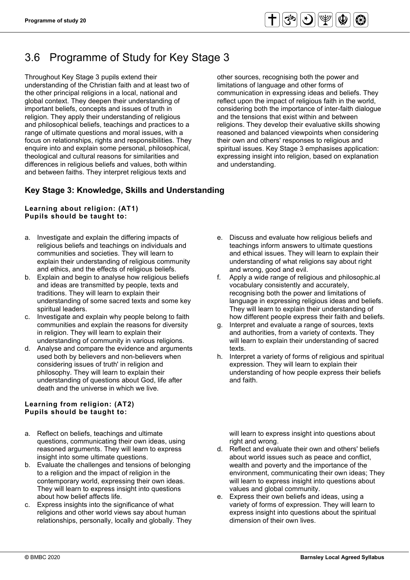# 3.6 Programme of Study for Key Stage 3

Throughout Key Stage 3 pupils extend their understanding of the Christian faith and at least two of the other principal religions in a local, national and global context. They deepen their understanding of important beliefs, concepts and issues of truth in religion. They apply their understanding of religious and philosophical beliefs, teachings and practices to a range of ultimate questions and moral issues, with a focus on relationships, rights and responsibilities. They enquire into and explain some personal, philosophical, theological and cultural reasons for similarities and differences in religious beliefs and values, both within and between faiths. They interpret religious texts and

# **Key Stage 3: Knowledge, Skills and Understanding**

### **Learning about religion: (AT1) Pupils should be taught to:**

- a. Investigate and explain the differing impacts of religious beliefs and teachings on individuals and communities and societies. They will learn to explain their understanding of religious community and ethics, and the effects of religious beliefs.
- b. Explain and begin to analyse how religious beliefs and ideas are transmitted by people, texts and traditions. They will learn to explain their understanding of some sacred texts and some key spiritual leaders.
- c. Investigate and explain why people belong to faith communities and explain the reasons for diversity in religion. They will learn to explain their understanding of community in various religions.
- d. Analyse and compare the evidence and arguments used both by believers and non-believers when considering issues of truth' in religion and philosophy. They will learn to explain their understanding of questions about God, life after death and the universe in which we live.

### **Learning from religion: (AT2) Pupils should be taught to:**

- a. Reflect on beliefs, teachings and ultimate questions, communicating their own ideas, using reasoned arguments. They will learn to express insight into some ultimate questions.
- b. Evaluate the challenges and tensions of belonging to a religion and the impact of religion in the contemporary world, expressing their own ideas. They will learn to express insight into questions about how belief affects life.
- c. Express insights into the significance of what religions and other world views say about human relationships, personally, locally and globally. They

other sources, recognising both the power and limitations of language and other forms of communication in expressing ideas and beliefs. They reflect upon the impact of religious faith in the world, considering both the importance of inter-faith dialogue and the tensions that exist within and between religions. They develop their evaluative skills showing reasoned and balanced viewpoints when considering their own and others' responses to religious and spiritual issues. Key Stage 3 emphasises application: expressing insight into religion, based on explanation and understanding.

- e. Discuss and evaluate how religious beliefs and teachings inform answers to ultimate questions and ethical issues. They will learn to explain their understanding of what religions say about right and wrong, good and evil.
- f. Apply a wide range of religious and philosophic.al vocabulary consistently and accurately, recognising both the power and limitations of language in expressing religious ideas and beliefs. They will learn to explain their understanding of how different people express their faith and beliefs.
- g. Interpret and evaluate a range of sources, texts and authorities, from a variety of contexts. They will learn to explain their understanding of sacred texts.
- h. Interpret a variety of forms of religious and spiritual expression. They will learn to explain their understanding of how people express their beliefs and faith.

will learn to express insight into questions about right and wrong.

- d. Reflect and evaluate their own and others' beliefs about world issues such as peace and conflict, wealth and poverty and the importance of the environment, communicating their own ideas; They will learn to express insight into questions about values and global community.
- e. Express their own beliefs and ideas, using a variety of forms of expression. They will learn to express insight into questions about the spiritual dimension of their own lives.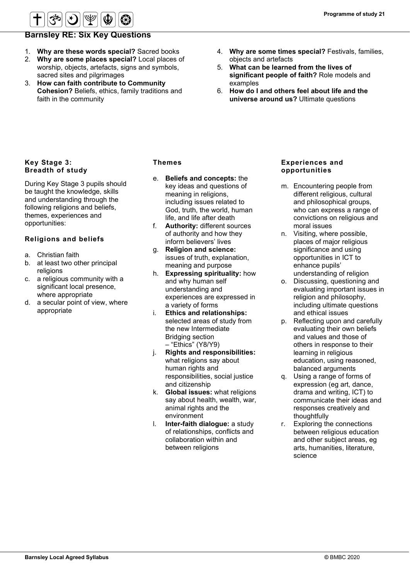

# **Barnsley RE: Six Key Questions**

- 1. **Why are these words special?** Sacred books
- 2. **Why are some places special?** Local places of worship, objects, artefacts, signs and symbols, sacred sites and pilgrimages
- 3. **How can faith contribute to Community Cohesion?** Beliefs, ethics, family traditions and faith in the community
- 4. **Why are some times special?** Festivals, families, objects and artefacts
- 5. **What can be learned from the lives of significant people of faith?** Role models and examples
- 6. **How do I and others feel about life and the universe around us?** Ultimate questions

### **Key Stage 3: Breadth of study**

During Key Stage 3 pupils should be taught the knowledge, skills and understanding through the following religions and beliefs, themes, experiences and opportunities:

## **Religions and beliefs**

- a. Christian faith
- b. at least two other principal religions
- c. a religious community with a significant local presence, where appropriate
- d. a secular point of view, where appropriate

### **Themes**

- e. **Beliefs and concepts:** the key ideas and questions of meaning in religions, including issues related to God, truth, the world, human life, and life after death
- f. **Authority:** different sources of authority and how they inform believers' lives
- g. **Religion and science:** issues of truth, explanation, meaning and purpose
- h. **Expressing spirituality:** how and why human self understanding and experiences are expressed in a variety of forms
- i. **Ethics and relationships:** selected areas of study from the new Intermediate Bridging section – "Ethics" (Y8/Y9)
- j. **Rights and responsibilities:** what religions say about human rights and responsibilities, social justice and citizenship
- k. **Global issues:** what religions say about health, wealth, war, animal rights and the environment
- l. **Inter-faith dialogue:** a study of relationships, conflicts and collaboration within and between religions

#### **Experiences and opportunities**

- m. Encountering people from different religious, cultural and philosophical groups, who can express a range of convictions on religious and moral issues
- n. Visiting, where possible, places of major religious significance and using opportunities in ICT to enhance pupils' understanding of religion
- o. Discussing, questioning and evaluating important issues in religion and philosophy, including ultimate questions and ethical issues
- p. Reflecting upon and carefully evaluating their own beliefs and values and those of others in response to their learning in religious education, using reasoned, balanced arguments
- q. Using a range of forms of expression (eg art, dance, drama and writing, ICT) to communicate their ideas and responses creatively and thoughtfully
- r. Exploring the connections between religious education and other subject areas, eg arts, humanities, literature, science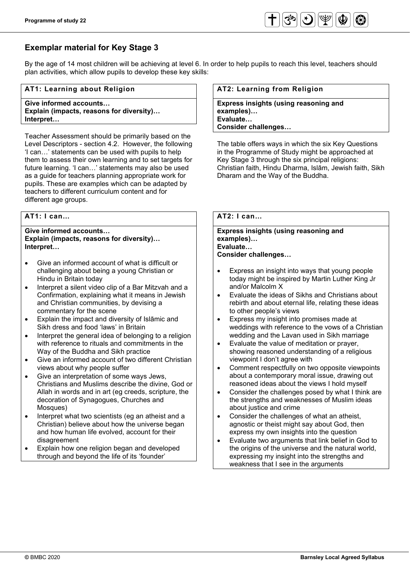

# **Exemplar material for Key Stage 3**

By the age of 14 most children will be achieving at level 6. In order to help pupils to reach this level, teachers should plan activities, which allow pupils to develop these key skills:

#### **AT1: Learning about Religion**

**Give informed accounts… Explain (impacts, reasons for diversity)… Interpret…** 

Teacher Assessment should be primarily based on the Level Descriptors - section 4.2. However, the following 'I can…' statements can be used with pupils to help them to assess their own learning and to set targets for future learning. 'I can…' statements may also be used as a guide for teachers planning appropriate work for pupils. These are examples which can be adapted by teachers to different curriculum content and for different age groups.

### **AT1: I can…**

#### **Give informed accounts… Explain (impacts, reasons for diversity)… Interpret…**

- Give an informed account of what is difficult or challenging about being a young Christian or Hindu in Britain today
- Interpret a silent video clip of a Bar Mitzvah and a Confirmation, explaining what it means in Jewish and Christian communities, by devising a commentary for the scene
- Explain the impact and diversity of Islāmic and Sikh dress and food 'laws' in Britain
- Interpret the general idea of belonging to a religion with reference to rituals and commitments in the Way of the Buddha and Sikh practice
- Give an informed account of two different Christian views about why people suffer
- Give an interpretation of some ways Jews, Christians and Muslims describe the divine, God or Allah in words and in art (eg creeds, scripture, the decoration of Synagogues, Churches and Mosques)
- Interpret what two scientists (eg an atheist and a Christian) believe about how the universe began and how human life evolved, account for their disagreement
- Explain how one religion began and developed through and beyond the life of its 'founder'

#### **AT2: Learning from Religion**

**Express insights (using reasoning and examples)… Evaluate… Consider challenges…** 

The table offers ways in which the six Key Questions in the Programme of Study might be approached at Key Stage 3 through the six principal religions: Christian faith, Hindu Dharma, Islām, Jewish faith, Sikh Dharam and the Way of the Buddha.

## **AT2: I can…**

#### **Express insights (using reasoning and examples)… Evaluate… Consider challenges…**

- Express an insight into ways that young people today might be inspired by Martin Luther King Jr and/or Malcolm X
- Evaluate the ideas of Sikhs and Christians about rebirth and about eternal life, relating these ideas to other people's views
- Express my insight into promises made at weddings with reference to the vows of a Christian wedding and the Lavan used in Sikh marriage
- Evaluate the value of meditation or prayer, showing reasoned understanding of a religious viewpoint I don't agree with
- Comment respectfully on two opposite viewpoints about a contemporary moral issue, drawing out reasoned ideas about the views I hold myself
- Consider the challenges posed by what I think are the strengths and weaknesses of Muslim ideas about justice and crime
- Consider the challenges of what an atheist, agnostic or theist might say about God, then express my own insights into the question
- Evaluate two arguments that link belief in God to the origins of the universe and the natural world, expressing my insight into the strengths and weakness that I see in the arguments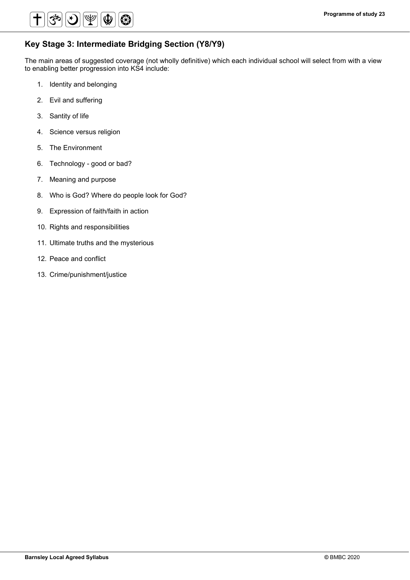

# **Key Stage 3: Intermediate Bridging Section (Y8/Y9)**

The main areas of suggested coverage (not wholly definitive) which each individual school will select from with a view to enabling better progression into KS4 include:

- 1. Identity and belonging
- 2. Evil and suffering
- 3. Santity of life
- 4. Science versus religion
- 5. The Environment
- 6. Technology good or bad?
- 7. Meaning and purpose
- 8. Who is God? Where do people look for God?
- 9. Expression of faith/faith in action
- 10. Rights and responsibilities
- 11. Ultimate truths and the mysterious
- 12. Peace and conflict
- 13. Crime/punishment/justice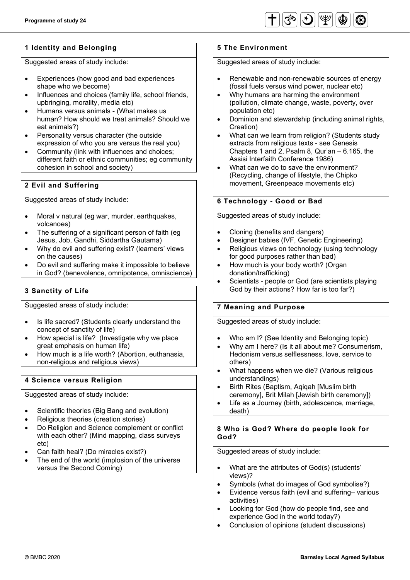

# **1 Identity and Belonging**

Suggested areas of study include:

- Experiences (how good and bad experiences shape who we become)
- Influences and choices (family life, school friends, upbringing, morality, media etc)
- Humans versus animals (What makes us human? How should we treat animals? Should we eat animals?)
- Personality versus character (the outside expression of who you are versus the real you)
- Community (link with influences and choices; different faith or ethnic communities; eg community cohesion in school and society)

# **2 Evil and Suffering**

Suggested areas of study include:

- Moral v natural (eq war, murder, earthquakes, volcanoes)
- The suffering of a significant person of faith (eg Jesus, Job, Gandhi, Siddartha Gautama)
- Why do evil and suffering exist? (learners' views on the causes)
- Do evil and suffering make it impossible to believe in God? (benevolence, omnipotence, omniscience)

## **3 Sanctity of Life**

Suggested areas of study include:

- Is life sacred? (Students clearly understand the concept of sanctity of life)
- How special is life? (Investigate why we place great emphasis on human life)
- How much is a life worth? (Abortion, euthanasia, non-religious and religious views)

#### **4 Science versus Religion**

Suggested areas of study include:

- Scientific theories (Big Bang and evolution)
- Religious theories (creation stories)
- Do Religion and Science complement or conflict with each other? (Mind mapping, class surveys etc)
- Can faith heal? (Do miracles exist?)
- The end of the world (implosion of the universe versus the Second Coming)

### **5 The Environment**

Suggested areas of study include:

- Renewable and non-renewable sources of energy (fossil fuels versus wind power, nuclear etc)
- Why humans are harming the environment (pollution, climate change, waste, poverty, over population etc)
- Dominion and stewardship (including animal rights, Creation)
- What can we learn from religion? (Students study extracts from religious texts - see Genesis Chapters 1 and 2, Psalm 8, Qur'an – 6.165, the Assisi Interfaith Conference 1986)
- What can we do to save the environment? (Recycling, change of lifestyle, the Chipko movement, Greenpeace movements etc)

## **6 Technology - Good or Bad**

Suggested areas of study include:

- Cloning (benefits and dangers)
- Designer babies (IVF, Genetic Engineering)
- Religious views on technology (using technology for good purposes rather than bad)
- How much is your body worth? (Organ donation/trafficking)
- Scientists people or God (are scientists playing God by their actions? How far is too far?)

## **7 Meaning and Purpose**

Suggested areas of study include:

- Who am I? (See Identity and Belonging topic)
- Why am I here? (Is it all about me? Consumerism, Hedonism versus selflessness, love, service to others)
- What happens when we die? (Various religious understandings)
- Birth Rites (Baptism, Aqiqah [Muslim birth ceremony], Brit Milah [Jewish birth ceremony])
- Life as a Journey (birth, adolescence, marriage, death)

#### **8 Who is God? Where do people look for God?**

Suggested areas of study include:

- What are the attributes of God(s) (students' views)?
- Symbols (what do images of God symbolise?)
- Evidence versus faith (evil and suffering– various activities)
- Looking for God (how do people find, see and experience God in the world today?)
- Conclusion of opinions (student discussions)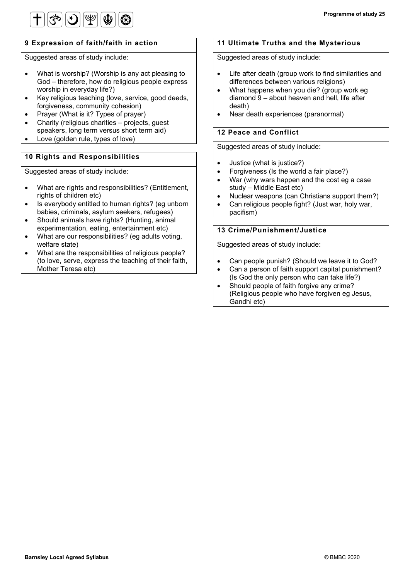

## **9 Expression of faith/faith in action**

Suggested areas of study include:

- What is worship? (Worship is any act pleasing to God – therefore, how do religious people express worship in everyday life?)
- Key religious teaching (love, service, good deeds, forgiveness, community cohesion)
- Prayer (What is it? Types of prayer)
- Charity (religious charities projects, guest speakers, long term versus short term aid)
- Love (golden rule, types of love)

# **10 Rights and Responsibilities**

Suggested areas of study include:

- What are rights and responsibilities? (Entitlement, rights of children etc)
- Is everybody entitled to human rights? (eg unborn babies, criminals, asylum seekers, refugees)
- Should animals have rights? (Hunting, animal experimentation, eating, entertainment etc)
- What are our responsibilities? (eg adults voting, welfare state)
- What are the responsibilities of religious people? (to love, serve, express the teaching of their faith, Mother Teresa etc)

## **11 Ultimate Truths and the Mysterious**

Suggested areas of study include:

- Life after death (group work to find similarities and differences between various religions)
- What happens when you die? (group work eg diamond 9 – about heaven and hell, life after death)
- Near death experiences (paranormal)

## **12 Peace and Conflict**

Suggested areas of study include:

- Justice (what is justice?)
- Forgiveness (Is the world a fair place?)
- War (why wars happen and the cost eg a case study – Middle East etc)
- Nuclear weapons (can Christians support them?)
- Can religious people fight? (Just war, holy war, pacifism)

### **13 Crime/Punishment/Justice**

Suggested areas of study include:

- Can people punish? (Should we leave it to God?
- Can a person of faith support capital punishment? (Is God the only person who can take life?)
- Should people of faith forgive any crime? (Religious people who have forgiven eg Jesus, Gandhi etc)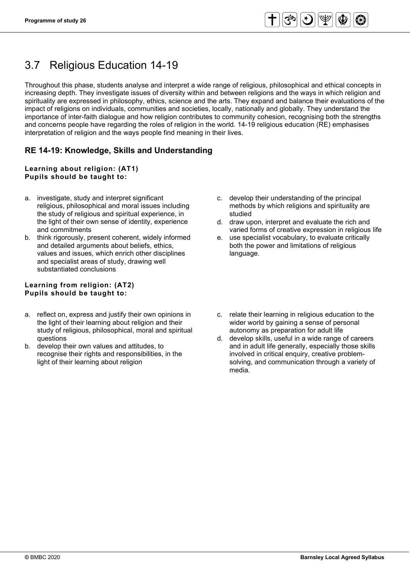# 3.7 Religious Education 14-19

Throughout this phase, students analyse and interpret a wide range of religious, philosophical and ethical concepts in increasing depth. They investigate issues of diversity within and between religions and the ways in which religion and spirituality are expressed in philosophy, ethics, science and the arts. They expand and balance their evaluations of the impact of religions on individuals, communities and societies, locally, nationally and globally. They understand the importance of inter-faith dialogue and how religion contributes to community cohesion, recognising both the strengths and concerns people have regarding the roles of religion in the world. 14-19 religious education (RE) emphasises interpretation of religion and the ways people find meaning in their lives.

# **RE 14-19: Knowledge, Skills and Understanding**

#### **Learning about religion: (AT1) Pupils should be taught to:**

- a. investigate, study and interpret significant religious, philosophical and moral issues including the study of religious and spiritual experience, in the light of their own sense of identity, experience and commitments
- b. think rigorously, present coherent, widely informed and detailed arguments about beliefs, ethics, values and issues, which enrich other disciplines and specialist areas of study, drawing well substantiated conclusions

#### **Learning from religion: (AT2) Pupils should be taught to:**

- a. reflect on, express and justify their own opinions in the light of their learning about religion and their study of religious, philosophical, moral and spiritual questions
- b. develop their own values and attitudes, to recognise their rights and responsibilities, in the light of their learning about religion
- c. develop their understanding of the principal methods by which religions and spirituality are studied
- d. draw upon, interpret and evaluate the rich and varied forms of creative expression in religious life
- e. use specialist vocabulary, to evaluate critically both the power and limitations of religious language.
- c. relate their learning in religious education to the wider world by gaining a sense of personal autonomy as preparation for adult life
- d. develop skills, useful in a wide range of careers and in adult life generally, especially those skills involved in critical enquiry, creative problemsolving, and communication through a variety of media.